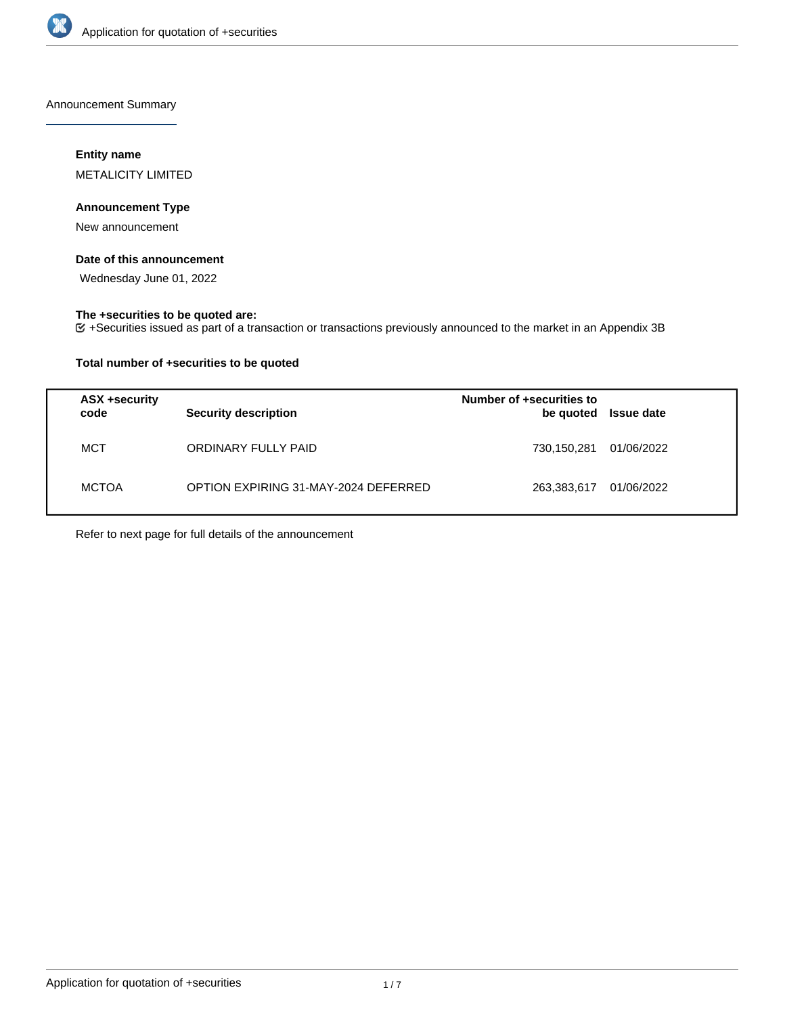

Announcement Summary

## **Entity name**

METALICITY LIMITED

## **Announcement Type**

New announcement

## **Date of this announcement**

Wednesday June 01, 2022

### **The +securities to be quoted are:**

+Securities issued as part of a transaction or transactions previously announced to the market in an Appendix 3B

## **Total number of +securities to be quoted**

| ASX +security<br>code | <b>Security description</b>          | Number of +securities to<br>be quoted | Issue date |
|-----------------------|--------------------------------------|---------------------------------------|------------|
| MCT                   | ORDINARY FULLY PAID                  | 730,150,281                           | 01/06/2022 |
| <b>MCTOA</b>          | OPTION EXPIRING 31-MAY-2024 DEFERRED | 263,383,617                           | 01/06/2022 |

Refer to next page for full details of the announcement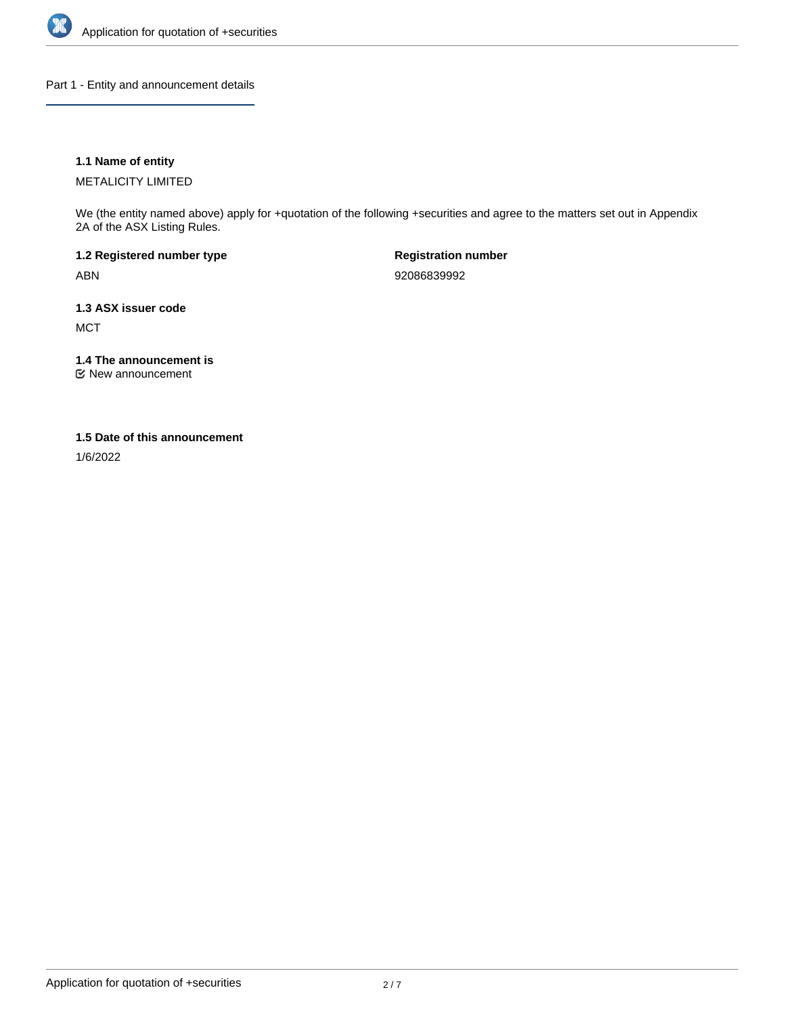

Part 1 - Entity and announcement details

## **1.1 Name of entity**

METALICITY LIMITED

We (the entity named above) apply for +quotation of the following +securities and agree to the matters set out in Appendix 2A of the ASX Listing Rules.

**1.2 Registered number type** ABN

**Registration number** 92086839992

**1.3 ASX issuer code MCT** 

**1.4 The announcement is**

New announcement

#### **1.5 Date of this announcement**

1/6/2022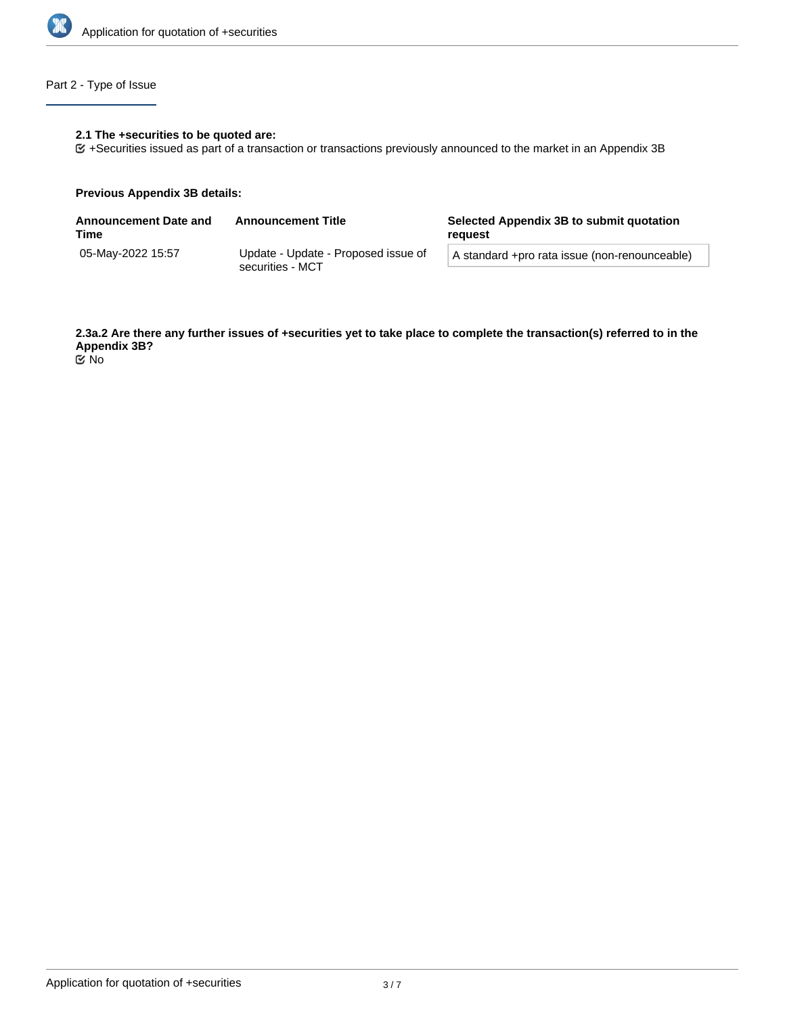

## Part 2 - Type of Issue

## **2.1 The +securities to be quoted are:**

+Securities issued as part of a transaction or transactions previously announced to the market in an Appendix 3B

#### **Previous Appendix 3B details:**

| <b>Announcement Date and</b><br>Time | <b>Announcement Title</b>                               | Selected Appendix 3B to submit quotation<br>reauest |  |
|--------------------------------------|---------------------------------------------------------|-----------------------------------------------------|--|
| 05-May-2022 15:57                    | Update - Update - Proposed issue of<br>securities - MCT | A standard +pro rata issue (non-renounceable)       |  |
|                                      |                                                         |                                                     |  |

**2.3a.2 Are there any further issues of +securities yet to take place to complete the transaction(s) referred to in the Appendix 3B?** No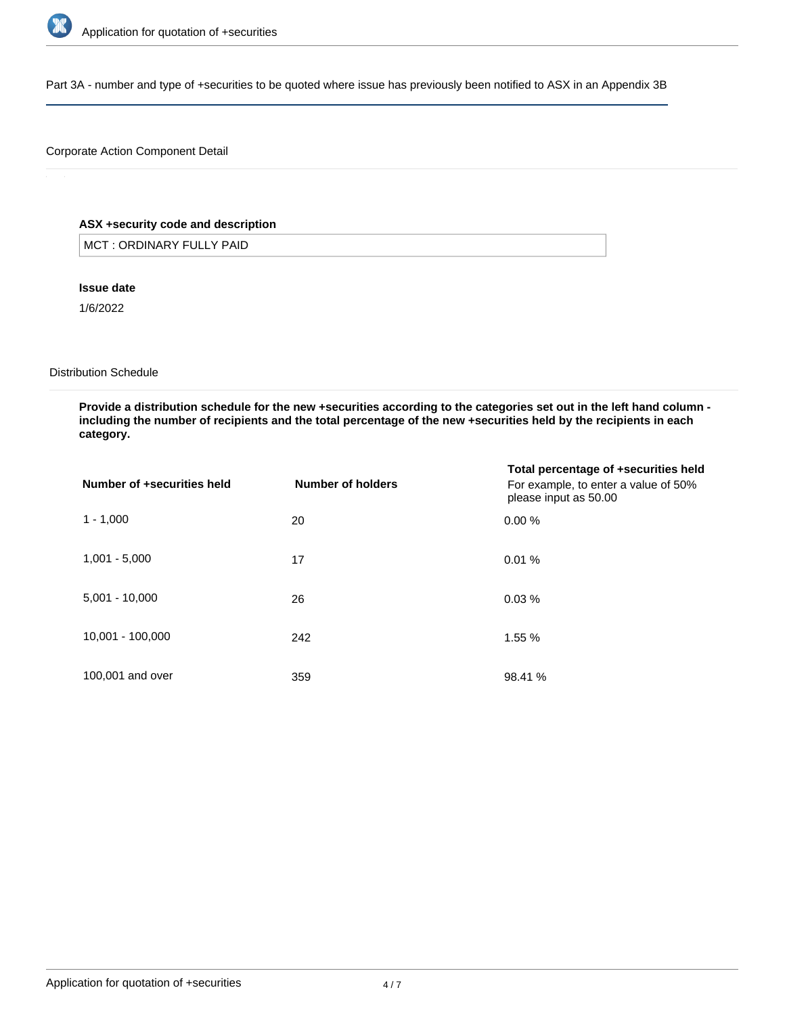

Part 3A - number and type of +securities to be quoted where issue has previously been notified to ASX in an Appendix 3B

## Corporate Action Component Detail

## **ASX +security code and description**

MCT : ORDINARY FULLY PAID

#### **Issue date**

1/6/2022

#### Distribution Schedule

**Provide a distribution schedule for the new +securities according to the categories set out in the left hand column including the number of recipients and the total percentage of the new +securities held by the recipients in each category.**

| Number of +securities held | Number of holders | Total percentage of +securities held<br>For example, to enter a value of 50%<br>please input as 50.00 |
|----------------------------|-------------------|-------------------------------------------------------------------------------------------------------|
| $1 - 1,000$                | 20                | 0.00%                                                                                                 |
| $1,001 - 5,000$            | 17                | 0.01%                                                                                                 |
| $5,001 - 10,000$           | 26                | 0.03%                                                                                                 |
| 10,001 - 100,000           | 242               | 1.55 %                                                                                                |
| 100,001 and over           | 359               | 98.41 %                                                                                               |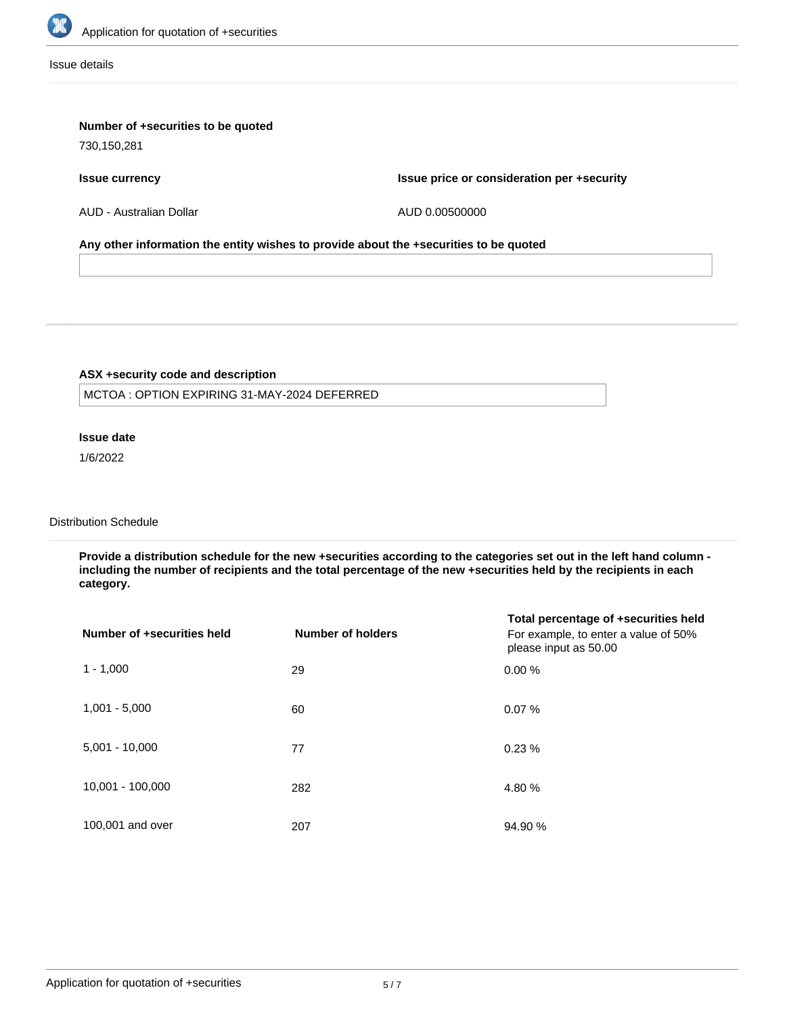

Issue details

## **Number of +securities to be quoted**

730,150,281

#### **Issue currency**

**Issue price or consideration per +security**

AUD - Australian Dollar

AUD 0.00500000

### **Any other information the entity wishes to provide about the +securities to be quoted**

## **ASX +security code and description**

MCTOA : OPTION EXPIRING 31-MAY-2024 DEFERRED

## **Issue date**

1/6/2022

# Distribution Schedule

**Provide a distribution schedule for the new +securities according to the categories set out in the left hand column including the number of recipients and the total percentage of the new +securities held by the recipients in each category.**

| Number of +securities held | <b>Number of holders</b> | Total percentage of +securities held<br>For example, to enter a value of 50%<br>please input as 50.00 |
|----------------------------|--------------------------|-------------------------------------------------------------------------------------------------------|
| $1 - 1,000$                | 29                       | 0.00%                                                                                                 |
| $1,001 - 5,000$            | 60                       | 0.07%                                                                                                 |
| $5,001 - 10,000$           | 77                       | 0.23%                                                                                                 |
| 10,001 - 100,000           | 282                      | 4.80 %                                                                                                |
| 100,001 and over           | 207                      | 94.90 %                                                                                               |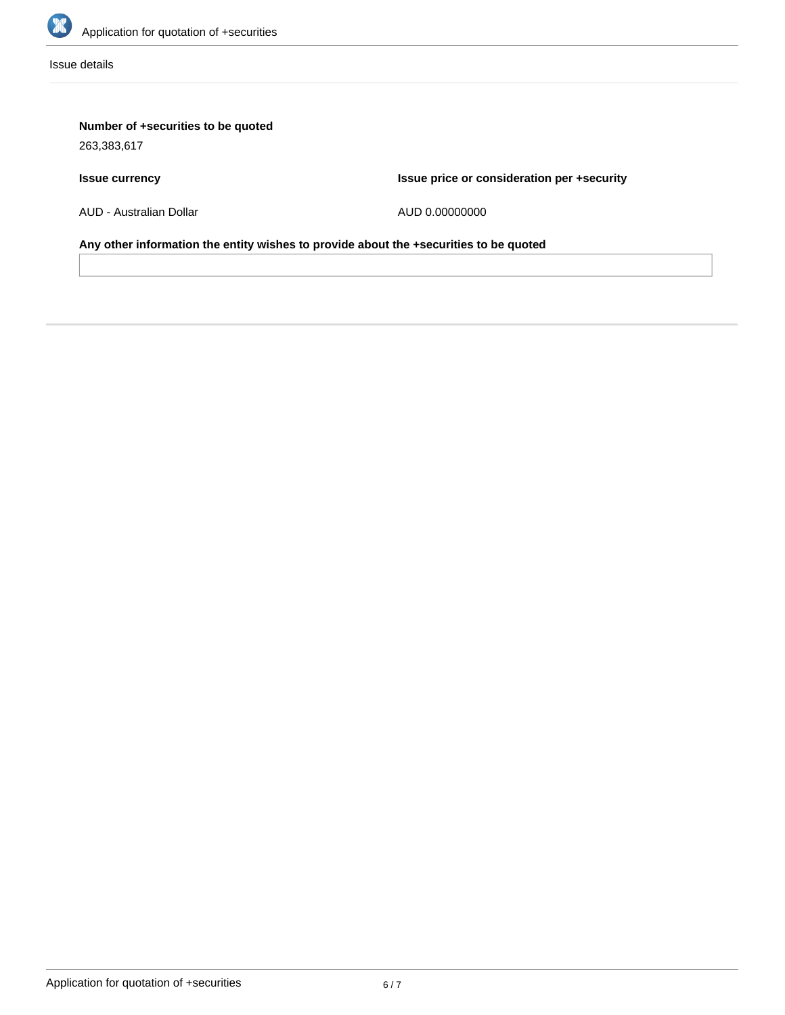

Issue details

# **Number of +securities to be quoted**

263,383,617

# **Issue currency**

**Issue price or consideration per +security**

AUD - Australian Dollar

AUD 0.00000000

**Any other information the entity wishes to provide about the +securities to be quoted**